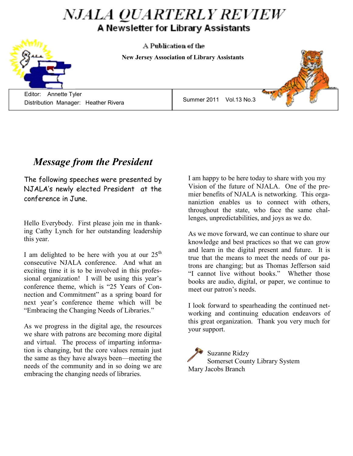# *NJALA QUARTERLY REVIEW* A Newsletter for Library Assistants

A Publication of the

 **NEW JERSEY ASSOCIATION OF LIBRARY ASSISTANTS New Jersey Association of Library Assistants**

 Editor: Annette Tyler Distribution Manager: Heather Rivera

Summer 2011 Vol.13 No.3

## *Message from the President*

The following speeches were presented by NJALA's newly elected President at the conference in June.

Hello Everybody. First please join me in thanking Cathy Lynch for her outstanding leadership this year.

I am delighted to be here with you at our  $25<sup>th</sup>$ consecutive NJALA conference. And what an exciting time it is to be involved in this professional organization! I will be using this year's conference theme, which is "25 Years of Connection and Commitment" as a spring board for next year's conference theme which will be "Embracing the Changing Needs of Libraries."

As we progress in the digital age, the resources we share with patrons are becoming more digital and virtual. The process of imparting information is changing, but the core values remain just the same as they have always been—meeting the needs of the community and in so doing we are embracing the changing needs of libraries.

I am happy to be here today to share with you my Vision of the future of NJALA. One of the premier benefits of NJALA is networking. This organaniztion enables us to connect with others, throughout the state, who face the same challenges, unpredictabilities, and joys as we do.

As we move forward, we can continue to share our knowledge and best practices so that we can grow and learn in the digital present and future. It is true that the means to meet the needs of our patrons are changing; but as Thomas Jefferson said "I cannot live without books." Whether those books are audio, digital, or paper, we continue to meet our patron's needs.

I look forward to spearheading the continued networking and continuing education endeavors of this great organization. Thank you very much for your support.

Suzanne Ridzy Somerset County Library System Mary Jacobs Branch

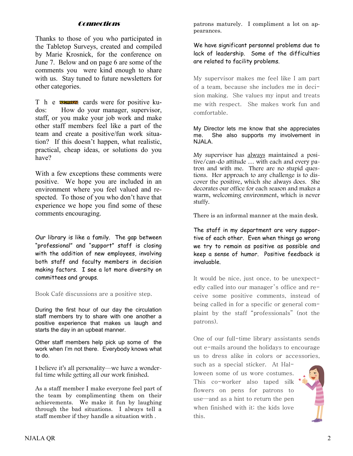#### **Connections**

<span id="page-1-0"></span>Thanks to those of you who participated in the Tabletop Surveys, created and compiled by Marie Krosnick, for the conference on June 7. Below and on page 6 are some of the comments you were kind enough to share with us. Stay tuned to future newsletters for other categories.

 $T$  h e **verson** cards were for positive kudos: How do your manager, supervisor, staff, or you make your job work and make other staff members feel like a part of the team and create a positive/fun work situation? If this doesn't happen, what realistic, practical, cheap ideas, or solutions do you have?

With a few exceptions these comments were positive. We hope you are included in an environment where you feel valued and respected. To those of you who don't have that experience we hope you find some of these comments encouraging.

Our library is like a family. The gap between "professional" and "support" staff is closing with the addition of new employees, involving both staff and faculty members in decision making factors. I see a lot more diversity on committees and groups.

Book Café discussions are a positive step.

During the first hour of our day the circulation staff members try to share with one another a positive experience that makes us laugh and starts the day in an upbeat manner.

Other staff members help pick up some of the work when I'm not there. Everybody knows what to do.

I believe it's all personality—we have a wonderful time while getting all our work finished.

As a staff member I make everyone feel part of the team by complimenting them on their achievements. We make it fun by laughing through the bad situations. I always tell a staff member if they handle a situation with .

patrons maturely. I compliment a lot on appearances.

We have significant personnel problems due to lack of leadership. Some of the difficulties are related to facility problems.

My supervisor makes me feel like I am part of a team, because she includes me in decision making. She values my input and treats me with respect. She makes work fun and comfortable.

My Director lets me know that she appreciates me. She also supports my involvement in NJALA.

My supervisor has always maintained a positive/can-do attitude … with each and every patron and with me. There are no stupid questions. Her approach to any challenge is to discover the positive, which she always does. She decorates our office for each season and makes a warm, welcoming environment, which is never stuffy.

There is an informal manner at the main desk.

The staff in my department are very supportive of each other. Even when things go wrong we try to remain as positive as possible and keep a sense of humor. Positive feedback is invaluable.

It would be nice, just once, to be unexpectedly called into our manager's office and receive some positive comments, instead of being called in for a specific or general complaint by the staff "professionals" (not the patrons).

One of our full-time library assistants sends out e-mails around the holidays to encourage us to dress alike in colors or accessories,

such as a special sticker. At Halloween some of us wore costumes. This co-worker also taped silk flowers on pens for patrons to use—and as a hint to return the pen when finished with it; the kids love this.

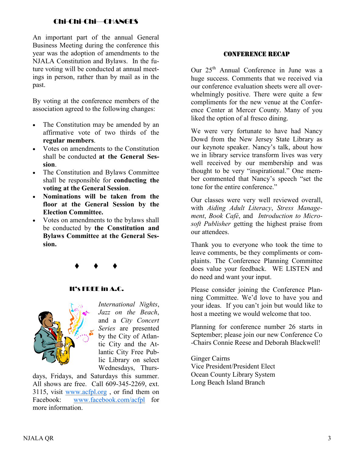### Chi-Chi-Chi—CHANGES

An important part of the annual General Business Meeting during the conference this year was the adoption of amendments to the NJALA Constitution and Bylaws. In the future voting will be conducted at annual meetings in person, rather than by mail as in the past.

By voting at the conference members of the association agreed to the following changes:

- The Constitution may be amended by an affirmative vote of two thirds of the **regular members**.
- Votes on amendments to the Constitution shall be conducted **at the General Session**.
- The Constitution and Bylaws Committee shall be responsible for **conducting the voting at the General Session**.
- **Nominations will be taken from the floor at the General Session by the Election Committee.**
- Votes on amendments to the bylaws shall be conducted by **the Constitution and Bylaws Committee at the General Session.**

### $\begin{array}{ccc} \bullet & \bullet & \bullet \end{array}$

#### It's FREE in A.C.



*International Nights*, *Jazz on the Beach*, and a *City Concert Series* are presented by the City of Atlantic City and the Atlantic City Free Public Library on select Wednesdays, Thurs-

days, Fridays, and Saturdays this summer. All shows are free. Call 609-345-2269, ext. 3115, visit [www.acfpl.org](Z:/USERS/AOT/My Documents/Corel User Files), or find them on Facebook: [www.facebook.com/acfpl](#page-1-0) for more information.

#### Conference Recap

Our 25th Annual Conference in June was a huge success. Comments that we received via our conference evaluation sheets were all overwhelmingly positive. There were quite a few compliments for the new venue at the Conference Center at Mercer County. Many of you liked the option of al fresco dining.

We were very fortunate to have had Nancy Dowd from the New Jersey State Library as our keynote speaker. Nancy's talk, about how we in library service transform lives was very well received by our membership and was thought to be very "inspirational." One member commented that Nancy's speech "set the tone for the entire conference."

Our classes were very well reviewed overall, with *Aiding Adult Literacy*, *Stress Management*, *Book Café*, and *Introduction to Microsoft Publisher* getting the highest praise from our attendees.

Thank you to everyone who took the time to leave comments, be they compliments or complaints. The Conference Planning Committee does value your feedback. WE LISTEN and do need and want your input.

Please consider joining the Conference Planning Committee. We'd love to have you and your ideas. If you can't join but would like to host a meeting we would welcome that too.

Planning for conference number 26 starts in September; please join our new Conference Co -Chairs Connie Reese and Deborah Blackwell!

Ginger Cairns Vice President/President Elect Ocean County Library System Long Beach Island Branch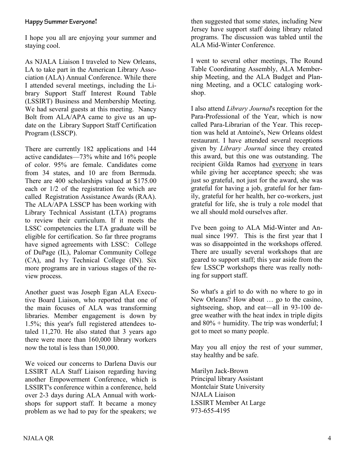#### **Happy Summer Everyone!**

I hope you all are enjoying your summer and staying cool.

As NJALA Liaison I traveled to New Orleans, LA to take part in the American Library Association (ALA) Annual Conference. While there I attended several meetings, including the Library Support Staff Interest Round Table (LSSIRT) Business and Membership Meeting. We had several guests at this meeting. Nancy Bolt from ALA/APA came to give us an update on the Library Support Staff Certification Program (LSSCP).

There are currently 182 applications and 144 active candidates—73% white and 16% people of color. 95% are female. Candidates come from 34 states, and 10 are from Bermuda. There are 400 scholarships valued at \$175.00 each or 1/2 of the registration fee which are called Registration Assistance Awards (RAA). The ALA/APA LSSCP has been working with Library Technical Assistant (LTA) programs to review their curriculum. If it meets the LSSC competencies the LTA graduate will be eligible for certification. So far three programs have signed agreements with LSSC: College of DuPage (IL), Palomar Community College (CA), and Ivy Technical College (IN). Six more programs are in various stages of the review process.

Another guest was Joseph Egan ALA Executive Board Liaison, who reported that one of the main focuses of ALA was transforming libraries. Member engagement is down by 1.5%; this year's full registered attendees totaled 11,270. He also stated that 3 years ago there were more than 160,000 library workers now the total is less than 150,000.

We voiced our concerns to Darlena Davis our LSSIRT ALA Staff Liaison regarding having another Empowerment Conference, which is LSSIRT's conference within a conference, held over 2-3 days during ALA Annual with workshops for support staff. It became a money problem as we had to pay for the speakers; we then suggested that some states, including New Jersey have support staff doing library related programs. The discussion was tabled until the ALA Mid-Winter Conference.

I went to several other meetings, The Round Table Coordinating Assembly, ALA Membership Meeting, and the ALA Budget and Planning Meeting, and a OCLC cataloging workshop.

I also attend *Library Journal*'s reception for the Para-Professional of the Year, which is now called Para-Librarian of the Year. This reception was held at Antoine's, New Orleans oldest restaurant. I have attended several receptions given by *Library Journal* since they created this award, but this one was outstanding. The recipient Gilda Ramos had everyone in tears while giving her acceptance speech; she was just so grateful, not just for the award, she was grateful for having a job, grateful for her family, grateful for her health, her co-workers, just grateful for life, she is truly a role model that we all should mold ourselves after.

I've been going to ALA Mid-Winter and Annual since 1997. This is the first year that I was so disappointed in the workshops offered. There are usually several workshops that are geared to support staff; this year aside from the few LSSCP workshops there was really nothing for support staff.

So what's a girl to do with no where to go in New Orleans? How about … go to the casino, sightseeing, shop, and eat—all in 93-100 degree weather with the heat index in triple digits and  $80\%$  + humidity. The trip was wonderful; I got to meet so many people.

May you all enjoy the rest of your summer, stay healthy and be safe.

Marilyn Jack-Brown Principal library Assistant Montclair State University NJALA Liaison LSSIRT Member At Large 973-655-4195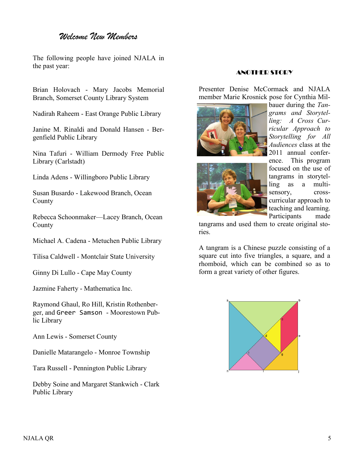## *Welcome New Members*

The following people have joined NJALA in the past year:

Brian Holovach - Mary Jacobs Memorial Branch, Somerset County Library System

Nadirah Raheem - East Orange Public Library

Janine M. Rinaldi and Donald Hansen - Bergenfield Public Library

Nina Tafuri - William Dermody Free Public Library (Carlstadt)

Linda Adens - Willingboro Public Library

Susan Busardo - Lakewood Branch, Ocean County

Rebecca Schoonmaker—Lacey Branch, Ocean County

Michael A. Cadena - Metuchen Public Library

Tilisa Caldwell - Montclair State University

Ginny Di Lullo - Cape May County

Jazmine Faherty - Mathematica Inc.

Raymond Ghaul, Ro Hill, Kristin Rothenberger, and Greer Samson - Moorestown Public Library

Ann Lewis - Somerset County

Danielle Matarangelo - Monroe Township

Tara Russell - Pennington Public Library

Debby Soine and Margaret Stankwich - Clark Public Library

#### ANOTHER STORY

Presenter Denise McCormack and NJALA member Marie Krosnick pose for Cynthia Mil-



bauer during the *Tangrams and Storytelling: A Cross Curricular Approach to Storytelling for All Audiences* class at the 2011 annual confer-



ence. This program focused on the use of tangrams in storytelling as a multisensory, crosscurricular approach to teaching and learning. Participants made

tangrams and used them to create original stories.

A tangram is a Chinese puzzle consisting of a square cut into five triangles, a square, and a rhomboid, which can be combined so as to form a great variety of other figures.

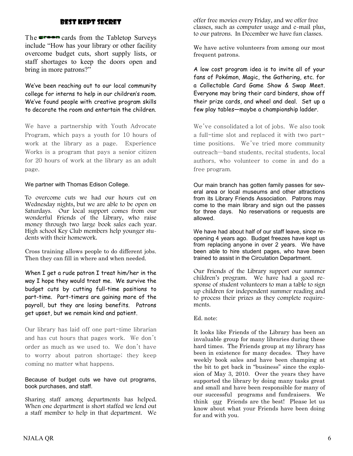## Best Kept Secret

The **group** cards from the Tabletop Surveys include "How has your library or other facility overcome budget cuts, short supply lists, or staff shortages to keep the doors open and bring in more patrons?"

We've been reaching out to our local community college for interns to help in our children's room. We've found people with creative program skills to decorate the room and entertain the children.

We have a partnership with Youth Advocate Program, which pays a youth for 10 hours of work at the library as a page. Experience Works is a program that pays a senior citizen for 20 hours of work at the library as an adult page.

#### We partner with Thomas Edison College.

To overcome cuts we had our hours cut on Wednesday nights, but we are able to be open on Saturdays. Our local support comes from our wonderful Friends of the Library, who raise money through two large book sales each year. High school Key Club members help younger students with their homework.

Cross training allows people to do different jobs. Then they can fill in where and when needed.

When I get a rude patron I treat him/her in the way I hope they would treat me. We survive the budget cuts by cutting full-time positions to part-time. Part-timers are gaining more of the payroll, but they are losing benefits. Patrons get upset, but we remain kind and patient.

Our library has laid off one part-time librarian and has cut hours that pages work. We don't order as much as we used to. We don't have to worry about patron shortage; they keep coming no matter what happens.

#### Because of budget cuts we have cut programs, book purchases, and staff.

Sharing staff among departments has helped. When one department is short staffed we lend out a staff member to help in that department. We offer free movies every Friday, and we offer free classes, such as computer usage and e-mail plus, to our patrons. In December we have fun classes.

We have active volunteers from among our most frequent patrons.

A low cost program idea is to invite all of your fans of Pokémon, Magic, the Gathering, etc. for a Collectable Card Game Show & Swap Meet. Everyone may bring their card binders, show off their prize cards, and wheel and deal. Set up a few play tables—maybe a championship ladder.

We've consolidated a lot of jobs. We also took a full-time slot and replaced it with two parttime positions. We've tried more community outreach—band students, recital students, local authors, who volunteer to come in and do a free program.

Our main branch has gotten family passes for several area or local museums and other attractions from its Library Friends Association. Patrons may come to the main library and sign out the passes for three days. No reservations or requests are allowed.

We have had about half of our staff leave, since reopening 4 years ago. Budget freezes have kept us from replacing anyone in over 2 years. We have been able to hire student pages, who have been trained to assist in the Circulation Department.

Our Friends of the Library support our summer children's program. We have had a good response of student volunteers to man a table to sign up children for independent summer reading and to process their prizes as they complete requirements.

Ed. note:

It looks like Friends of the Library has been an invaluable group for many libraries during these hard times. The Friends group at my library has been in existence for many decades. They have weekly book sales and have been champing at the bit to get back in "business" since the explosion of May 3, 2010. Over the years they have supported the library by doing many tasks great and small and have been responsible for many of our successful programs and fundraisers. We think our Friends are the best! Please let us know about what your Friends have been doing for and with you.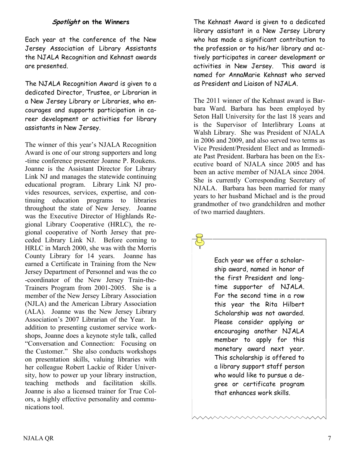#### **Spotlight on the Winners**

Each year at the conference of the New Jersey Association of Library Assistants the NJALA Recognition and Kehnast awards are presented.

The NJALA Recognition Award is given to a dedicated Director, Trustee, or Librarian in a New Jersey Library or Libraries, who encourages and supports participation in career development or activities for library assistants in New Jersey.

The winner of this year's NJALA Recognition Award is one of our strong supporters and long -time conference presenter Joanne P. Roukens. Joanne is the Assistant Director for Library Link NJ and manages the statewide continuing educational program. Library Link NJ provides resources, services, expertise, and continuing education programs to libraries throughout the state of New Jersey. Joanne was the Executive Director of Highlands Regional Library Cooperative (HRLC), the regional cooperative of North Jersey that preceded Library Link NJ. Before coming to HRLC in March 2000, she was with the Morris County Library for 14 years. Joanne has earned a Certificate in Training from the New Jersey Department of Personnel and was the co -coordinator of the New Jersey Train-the-Trainers Program from 2001-2005. She is a member of the New Jersey Library Association (NJLA) and the American Library Association (ALA). Joanne was the New Jersey Library Association's 2007 Librarian of the Year. In addition to presenting customer service workshops, Joanne does a keynote style talk, called "Conversation and Connection: Focusing on the Customer." She also conducts workshops on presentation skills, valuing libraries with her colleague Robert Lackie of Rider University, how to power up your library instruction, teaching methods and facilitation skills. Joanne is also a licensed trainer for True Colors, a highly effective personality and communications tool.

The Kehnast Award is given to a dedicated library assistant in a New Jersey Library who has made a significant contribution to the profession or to his/her library and actively participates in career development or activities in New Jersey. This award is named for AnnaMarie Kehnast who served as President and Liaison of NJALA.

The 2011 winner of the Kehnast award is Barbara Ward. Barbara has been employed by Seton Hall University for the last 18 years and is the Supervisor of Interlibrary Loans at Walsh Library. She was President of NJALA in 2006 and 2009, and also served two terms as Vice President/President Elect and as Immediate Past President. Barbara has been on the Executive board of NJALA since 2005 and has been an active member of NJALA since 2004. She is currently Corresponding Secretary of NJALA. Barbara has been married for many years to her husband Michael and is the proud grandmother of two grandchildren and mother of two married daughters.



Each year we offer a scholarship award, named in honor of the first President and longtime supporter of NJALA. For the second time in a row this year the Rita Hilbert Scholarship was not awarded. Please consider applying or encouraging another NJALA member to apply for this monetary award next year. This scholarship is offered to a library support staff person who would like to pursue a degree or certificate program that enhances work skills.